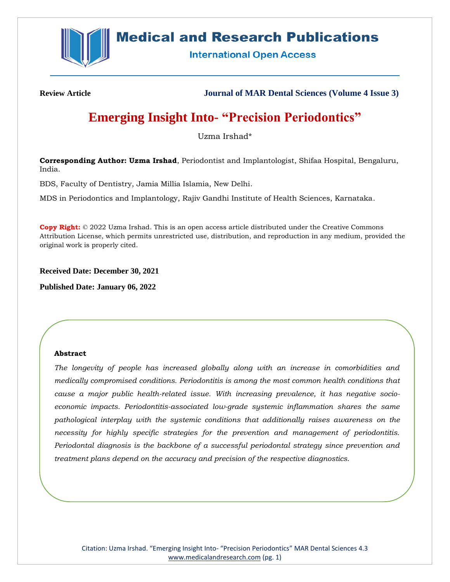

# **Medical and Research Publications**

**International Open Access** 

**Review Article Journal of MAR Dental Sciences (Volume 4 Issue 3)**

# **Emerging Insight Into- "Precision Periodontics"**

Uzma Irshad\*

**Corresponding Author: Uzma Irshad**, Periodontist and Implantologist, Shifaa Hospital, Bengaluru, India.

BDS, Faculty of Dentistry, Jamia Millia Islamia, New Delhi.

MDS in Periodontics and Implantology, Rajiv Gandhi Institute of Health Sciences, Karnataka.

**Copy Right:** © 2022 Uzma Irshad. This is an open access article distributed under the Creative Commons Attribution License, which permits unrestricted use, distribution, and reproduction in any medium, provided the original work is properly cited.

**Received Date: December 30, 2021**

**Published Date: January 06, 2022**

# **Abstract**

*The longevity of people has increased globally along with an increase in comorbidities and medically compromised conditions. Periodontitis is among the most common health conditions that cause a major public health-related issue. With increasing prevalence, it has negative socioeconomic impacts. Periodontitis-associated low-grade systemic inflammation shares the same pathological interplay with the systemic conditions that additionally raises awareness on the necessity for highly specific strategies for the prevention and management of periodontitis. Periodontal diagnosis is the backbone of a successful periodontal strategy since prevention and treatment plans depend on the accuracy and precision of the respective diagnostics.*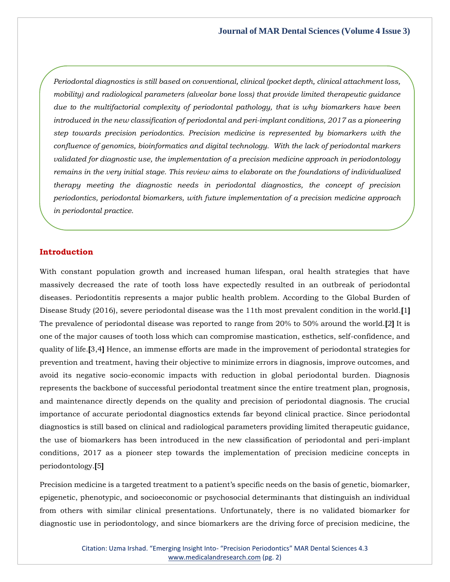*Periodontal diagnostics is still based on conventional, clinical (pocket depth, clinical attachment loss, mobility) and radiological parameters (alveolar bone loss) that provide limited therapeutic guidance due to the multifactorial complexity of periodontal pathology, that is why biomarkers have been introduced in the new classification of periodontal and peri-implant conditions, 2017 as a pioneering step towards precision periodontics. Precision medicine is represented by biomarkers with the confluence of genomics, bioinformatics and digital technology. With the lack of periodontal markers validated for diagnostic use, the implementation of a precision medicine approach in periodontology remains in the very initial stage. This review aims to elaborate on the foundations of individualized therapy meeting the diagnostic needs in periodontal diagnostics, the concept of precision periodontics, periodontal biomarkers, with future implementation of a precision medicine approach in periodontal practice.*

#### **Introduction**

With constant population growth and increased human lifespan, oral health strategies that have massively decreased the rate of tooth loss have expectedly resulted in an outbreak of periodontal diseases. Periodontitis represents a major public health problem. According to the Global Burden of Disease Study (2016), severe periodontal disease was the 11th most prevalent condition in the world.**[**1**]** The prevalence of periodontal disease was reported to range from 20% to 50% around the world.**[**2**]** It is one of the major causes of tooth loss which can compromise mastication, esthetics, self-confidence, and quality of life.**[**3,4**]** Hence, an immense efforts are made in the improvement of periodontal strategies for prevention and treatment, having their objective to minimize errors in diagnosis, improve outcomes, and avoid its negative socio-economic impacts with reduction in global periodontal burden. Diagnosis represents the backbone of successful periodontal treatment since the entire treatment plan, prognosis, and maintenance directly depends on the quality and precision of periodontal diagnosis. The crucial importance of accurate periodontal diagnostics extends far beyond clinical practice. Since periodontal diagnostics is still based on clinical and radiological parameters providing limited therapeutic guidance, the use of biomarkers has been introduced in the new classification of periodontal and peri-implant conditions, 2017 as a pioneer step towards the implementation of precision medicine concepts in periodontology.**[**5**]**

Precision medicine is a targeted treatment to a patient's specific needs on the basis of genetic, biomarker, epigenetic, phenotypic, and socioeconomic or psychosocial determinants that distinguish an individual from others with similar clinical presentations. Unfortunately, there is no validated biomarker for diagnostic use in periodontology, and since biomarkers are the driving force of precision medicine, the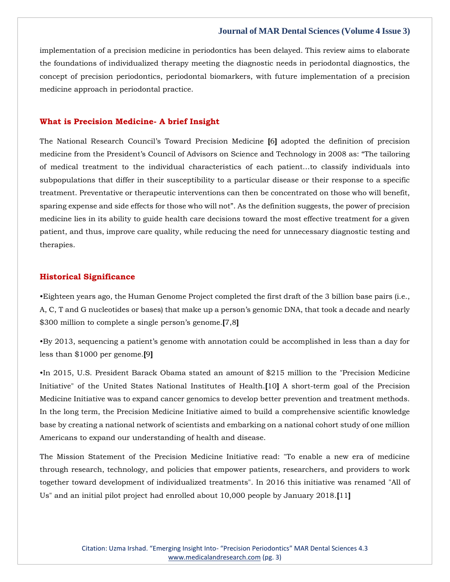implementation of a precision medicine in periodontics has been delayed. This review aims to elaborate the foundations of individualized therapy meeting the diagnostic needs in periodontal diagnostics, the concept of precision periodontics, periodontal biomarkers, with future implementation of a precision medicine approach in periodontal practice.

### **What is Precision Medicine- A brief Insight**

The National Research Council's Toward Precision Medicine **[**6**]** adopted the definition of precision medicine from the President's Council of Advisors on Science and Technology in 2008 as: "The tailoring of medical treatment to the individual characteristics of each patient…to classify individuals into subpopulations that differ in their susceptibility to a particular disease or their response to a specific treatment. Preventative or therapeutic interventions can then be concentrated on those who will benefit, sparing expense and side effects for those who will not". As the definition suggests, the power of precision medicine lies in its ability to guide health care decisions toward the most effective treatment for a given patient, and thus, improve care quality, while reducing the need for unnecessary diagnostic testing and therapies.

#### **Historical Significance**

•Eighteen years ago, the Human Genome Project completed the first draft of the 3 billion base pairs (i.e., A, C, T and G nucleotides or bases) that make up a person's genomic DNA, that took a decade and nearly \$300 million to complete a single person's genome.**[**7,8**]**

•By 2013, sequencing a patient's genome with annotation could be accomplished in less than a day for less than \$1000 per genome.**[**9**]**

•In 2015, U.S. President Barack Obama stated an amount of \$215 million to the "Precision Medicine Initiative" of the United States National Institutes of Health.**[**10**]** A short-term goal of the Precision Medicine Initiative was to expand cancer genomics to develop better prevention and treatment methods. In the long term, the Precision Medicine Initiative aimed to build a comprehensive scientific knowledge base by creating a national network of scientists and embarking on a national cohort study of one million Americans to expand our understanding of health and disease.

The Mission Statement of the Precision Medicine Initiative read: "To enable a new era of medicine through research, technology, and policies that empower patients, researchers, and providers to work together toward development of individualized treatments". In 2016 this initiative was renamed "All of Us" and an initial pilot project had enrolled about 10,000 people by January 2018.**[**11**]**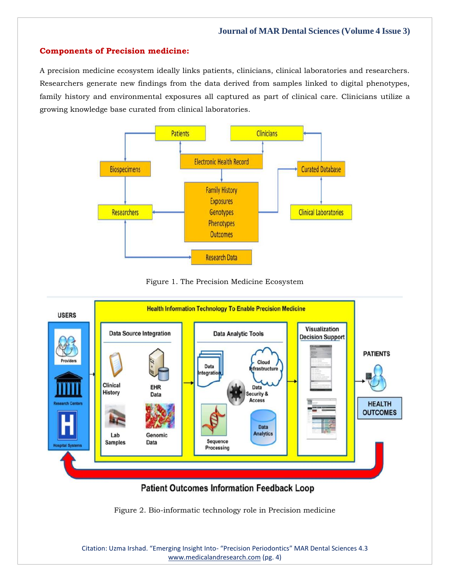# **Components of Precision medicine:**

A precision medicine ecosystem ideally links patients, clinicians, clinical laboratories and researchers. Researchers generate new findings from the data derived from samples linked to digital phenotypes, family history and environmental exposures all captured as part of clinical care. Clinicians utilize a growing knowledge base curated from clinical laboratories.



Figure 1. The Precision Medicine Ecosystem



Figure 2. Bio-informatic technology role in Precision medicine

Citation: Uzma Irshad. "Emerging Insight Into- "Precision Periodontics" MAR Dental Sciences 4.3 [www.medicalandresearch.com](http://www.medicalandresearch.com/) (pg. 4)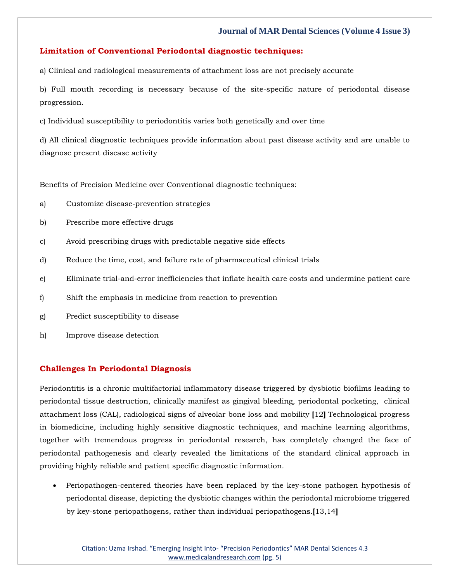# **Limitation of Conventional Periodontal diagnostic techniques:**

a) Clinical and radiological measurements of attachment loss are not precisely accurate

b) Full mouth recording is necessary because of the site-specific nature of periodontal disease progression.

c) Individual susceptibility to periodontitis varies both genetically and over time

d) All clinical diagnostic techniques provide information about past disease activity and are unable to diagnose present disease activity

Benefits of Precision Medicine over Conventional diagnostic techniques:

- a) Customize disease-prevention strategies
- b) Prescribe more effective drugs
- c) Avoid prescribing drugs with predictable negative side effects
- d) Reduce the time, cost, and failure rate of pharmaceutical clinical trials
- e) Eliminate trial-and-error inefficiencies that inflate health care costs and undermine patient care
- f) Shift the emphasis in medicine from reaction to prevention
- g) Predict susceptibility to disease
- h) Improve disease detection

# **Challenges In Periodontal Diagnosis**

Periodontitis is a chronic multifactorial inflammatory disease triggered by dysbiotic biofilms leading to periodontal tissue destruction, clinically manifest as gingival bleeding, periodontal pocketing, clinical attachment loss (CAL), radiological signs of alveolar bone loss and mobility **[**12**]** Technological progress in biomedicine, including highly sensitive diagnostic techniques, and machine learning algorithms, together with tremendous progress in periodontal research, has completely changed the face of periodontal pathogenesis and clearly revealed the limitations of the standard clinical approach in providing highly reliable and patient specific diagnostic information.

• Periopathogen-centered theories have been replaced by the key-stone pathogen hypothesis of periodontal disease, depicting the dysbiotic changes within the periodontal microbiome triggered by key-stone periopathogens, rather than individual periopathogens.**[**13,14**]**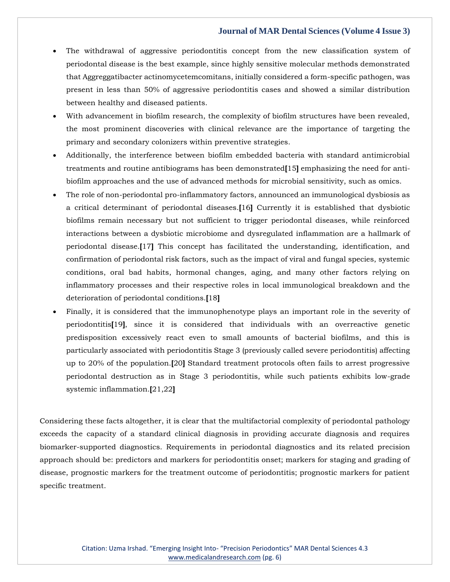- The withdrawal of aggressive periodontitis concept from the new classification system of periodontal disease is the best example, since highly sensitive molecular methods demonstrated that Aggreggatibacter actinomycetemcomitans, initially considered a form-specific pathogen, was present in less than 50% of aggressive periodontitis cases and showed a similar distribution between healthy and diseased patients.
- With advancement in biofilm research, the complexity of biofilm structures have been revealed, the most prominent discoveries with clinical relevance are the importance of targeting the primary and secondary colonizers within preventive strategies.
- Additionally, the interference between biofilm embedded bacteria with standard antimicrobial treatments and routine antibiograms has been demonstrated**[**15**]** emphasizing the need for antibiofilm approaches and the use of advanced methods for microbial sensitivity, such as omics.
- The role of non-periodontal pro-inflammatory factors, announced an immunological dysbiosis as a critical determinant of periodontal diseases.**[**16**]** Currently it is established that dysbiotic biofilms remain necessary but not sufficient to trigger periodontal diseases, while reinforced interactions between a dysbiotic microbiome and dysregulated inflammation are a hallmark of periodontal disease.**[**17**]** This concept has facilitated the understanding, identification, and confirmation of periodontal risk factors, such as the impact of viral and fungal species, systemic conditions, oral bad habits, hormonal changes, aging, and many other factors relying on inflammatory processes and their respective roles in local immunological breakdown and the deterioration of periodontal conditions.**[**18**]**
- Finally, it is considered that the immunophenotype plays an important role in the severity of periodontitis**[**19**]**, since it is considered that individuals with an overreactive genetic predisposition excessively react even to small amounts of bacterial biofilms, and this is particularly associated with periodontitis Stage 3 (previously called severe periodontitis) affecting up to 20% of the population.**[**20**]** Standard treatment protocols often fails to arrest progressive periodontal destruction as in Stage 3 periodontitis, while such patients exhibits low-grade systemic inflammation.**[**21,22**]**

Considering these facts altogether, it is clear that the multifactorial complexity of periodontal pathology exceeds the capacity of a standard clinical diagnosis in providing accurate diagnosis and requires biomarker-supported diagnostics. Requirements in periodontal diagnostics and its related precision approach should be: predictors and markers for periodontitis onset; markers for staging and grading of disease, prognostic markers for the treatment outcome of periodontitis; prognostic markers for patient specific treatment.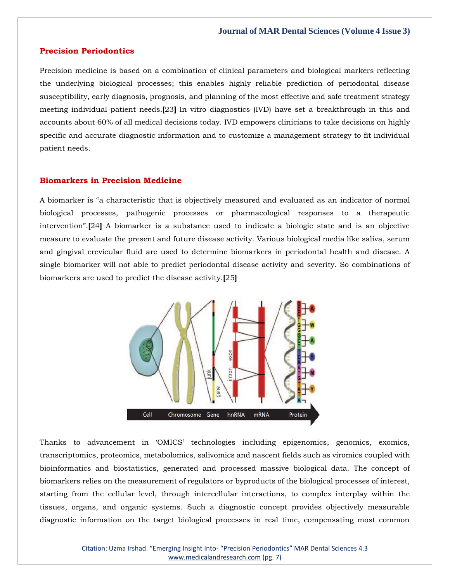### **Precision Periodontics**

Precision medicine is based on a combination of clinical parameters and biological markers reflecting the underlying biological processes; this enables highly reliable prediction of periodontal disease susceptibility, early diagnosis, prognosis, and planning of the most effective and safe treatment strategy meeting individual patient needs.**[**23**]** In vitro diagnostics (IVD) have set a breakthrough in this and accounts about 60% of all medical decisions today. IVD empowers clinicians to take decisions on highly specific and accurate diagnostic information and to customize a management strategy to fit individual patient needs.

# **Biomarkers in Precision Medicine**

A biomarker is "a characteristic that is objectively measured and evaluated as an indicator of normal biological processes, pathogenic processes or pharmacological responses to a therapeutic intervention".**[**24**]** A biomarker is a substance used to indicate a biologic state and is an objective measure to evaluate the present and future disease activity. Various biological media like saliva, serum and gingival crevicular fluid are used to determine biomarkers in periodontal health and disease. A single biomarker will not able to predict periodontal disease activity and severity. So combinations of biomarkers are used to predict the disease activity.**[**25**]**



Thanks to advancement in 'OMICS' technologies including epigenomics, genomics, exomics, transcriptomics, proteomics, metabolomics, salivomics and nascent fields such as viromics coupled with bioinformatics and biostatistics, generated and processed massive biological data. The concept of biomarkers relies on the measurement of regulators or byproducts of the biological processes of interest, starting from the cellular level, through intercellular interactions, to complex interplay within the tissues, organs, and organic systems. Such a diagnostic concept provides objectively measurable diagnostic information on the target biological processes in real time, compensating most common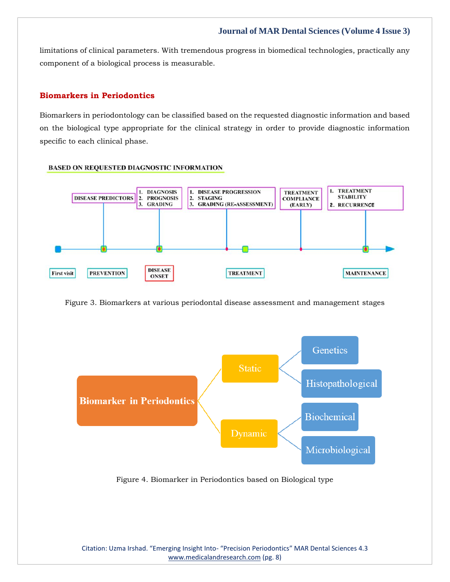limitations of clinical parameters. With tremendous progress in biomedical technologies, practically any component of a biological process is measurable.

# **Biomarkers in Periodontics**

Biomarkers in periodontology can be classified based on the requested diagnostic information and based on the biological type appropriate for the clinical strategy in order to provide diagnostic information specific to each clinical phase.

#### **BASED ON REQUESTED DIAGNOSTIC INFORMATION**



Figure 3. Biomarkers at various periodontal disease assessment and management stages



Figure 4. Biomarker in Periodontics based on Biological type

Citation: Uzma Irshad. "Emerging Insight Into- "Precision Periodontics" MAR Dental Sciences 4.3 [www.medicalandresearch.com](http://www.medicalandresearch.com/) (pg. 8)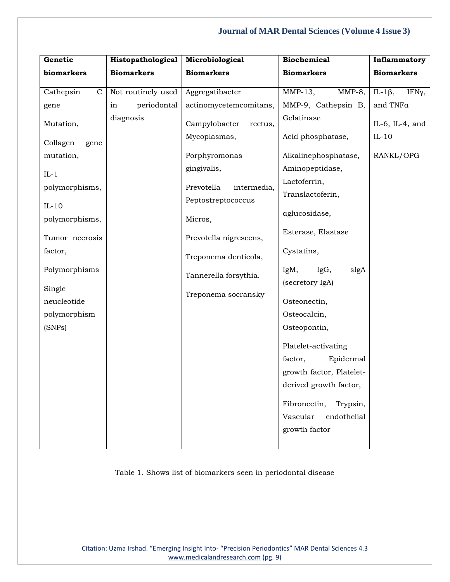| Genetic                   | Histopathological  | Microbiological           | <b>Biochemical</b>                      | Inflammatory            |
|---------------------------|--------------------|---------------------------|-----------------------------------------|-------------------------|
| biomarkers                | <b>Biomarkers</b>  | <b>Biomarkers</b>         | <b>Biomarkers</b>                       | <b>Biomarkers</b>       |
| Cathepsin<br>$\mathbf C$  | Not routinely used | Aggregatibacter           | $MMP-13$ ,<br>$MMP-8$ ,                 | IL-1 $\beta$ ,<br>IFNy, |
| gene                      | periodontal<br>in  | actinomycetemcomitans,    | MMP-9, Cathepsin B,                     | and TNFa                |
| Mutation,                 | diagnosis          | Campylobacter<br>rectus,  | Gelatinase                              | IL-6, IL-4, and         |
| Collagen<br>gene          |                    | Mycoplasmas,              | Acid phosphatase,                       | $IL-10$                 |
| mutation,                 |                    | Porphyromonas             | Alkalinephosphatase,                    | RANKL/OPG               |
| $IL-1$                    |                    | gingivalis,               | Aminopeptidase,                         |                         |
| polymorphisms,            |                    | Prevotella<br>intermedia, | Lactoferrin,                            |                         |
|                           |                    | Peptostreptococcus        | Translactoferin,                        |                         |
| $IL-10$<br>polymorphisms, |                    | Micros,                   | aglucosidase,                           |                         |
| Tumor necrosis            |                    | Prevotella nigrescens,    | Esterase, Elastase                      |                         |
| factor,                   |                    | Treponema denticola,      | Cystatins,                              |                         |
| Polymorphisms             |                    | Tannerella forsythia.     | IgM,<br>IgG,<br>sIgA<br>(secretory IgA) |                         |
| Single                    |                    | Treponema socransky       |                                         |                         |
| neucleotide               |                    |                           | Osteonectin,                            |                         |
| polymorphism              |                    |                           | Osteocalcin,                            |                         |
| (SNPs)                    |                    |                           | Osteopontin,                            |                         |
|                           |                    |                           | Platelet-activating                     |                         |
|                           |                    |                           | factor,<br>Epidermal                    |                         |
|                           |                    |                           | growth factor, Platelet-                |                         |
|                           |                    |                           | derived growth factor,                  |                         |
|                           |                    |                           | Fibronectin,<br>Trypsin,                |                         |
|                           |                    |                           | Vascular<br>endothelial                 |                         |
|                           |                    |                           | growth factor                           |                         |
|                           |                    |                           |                                         |                         |

Table 1. Shows list of biomarkers seen in periodontal disease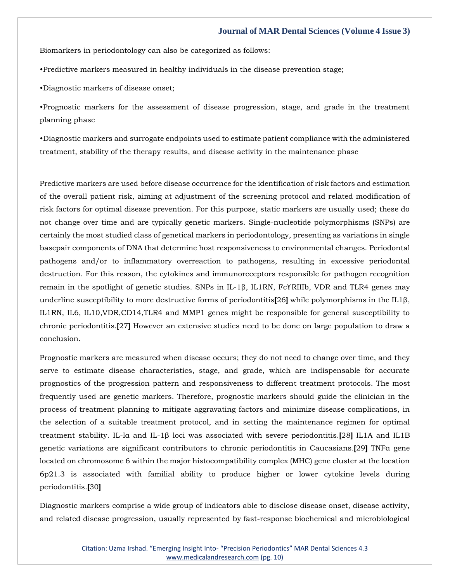Biomarkers in periodontology can also be categorized as follows:

•Predictive markers measured in healthy individuals in the disease prevention stage;

•Diagnostic markers of disease onset;

•Prognostic markers for the assessment of disease progression, stage, and grade in the treatment planning phase

•Diagnostic markers and surrogate endpoints used to estimate patient compliance with the administered treatment, stability of the therapy results, and disease activity in the maintenance phase

Predictive markers are used before disease occurrence for the identification of risk factors and estimation of the overall patient risk, aiming at adjustment of the screening protocol and related modification of risk factors for optimal disease prevention. For this purpose, static markers are usually used; these do not change over time and are typically genetic markers. Single-nucleotide polymorphisms (SNPs) are certainly the most studied class of genetical markers in periodontology, presenting as variations in single basepair components of DNA that determine host responsiveness to environmental changes. Periodontal pathogens and/or to inflammatory overreaction to pathogens, resulting in excessive periodontal destruction. For this reason, the cytokines and immunoreceptors responsible for pathogen recognition remain in the spotlight of genetic studies. SNPs in IL-1β, IL1RN, FcϒRIIIb, VDR and TLR4 genes may underline susceptibility to more destructive forms of periodontitis**[**26**]** while polymorphisms in the IL1β, IL1RN, IL6, IL10,VDR,CD14,TLR4 and MMP1 genes might be responsible for general susceptibility to chronic periodontitis.**[**27**]** However an extensive studies need to be done on large population to draw a conclusion.

Prognostic markers are measured when disease occurs; they do not need to change over time, and they serve to estimate disease characteristics, stage, and grade, which are indispensable for accurate prognostics of the progression pattern and responsiveness to different treatment protocols. The most frequently used are genetic markers. Therefore, prognostic markers should guide the clinician in the process of treatment planning to mitigate aggravating factors and minimize disease complications, in the selection of a suitable treatment protocol, and in setting the maintenance regimen for optimal treatment stability. IL-lα and IL-1β loci was associated with severe periodontitis.**[**28**]** IL1A and IL1B genetic variations are significant contributors to chronic periodontitis in Caucasians.**[**29**]** TNFα gene located on chromosome 6 within the major histocompatibility complex (MHC) gene cluster at the location 6p21.3 is associated with familial ability to produce higher or lower cytokine levels during periodontitis.**[**30**]**

Diagnostic markers comprise a wide group of indicators able to disclose disease onset, disease activity, and related disease progression, usually represented by fast-response biochemical and microbiological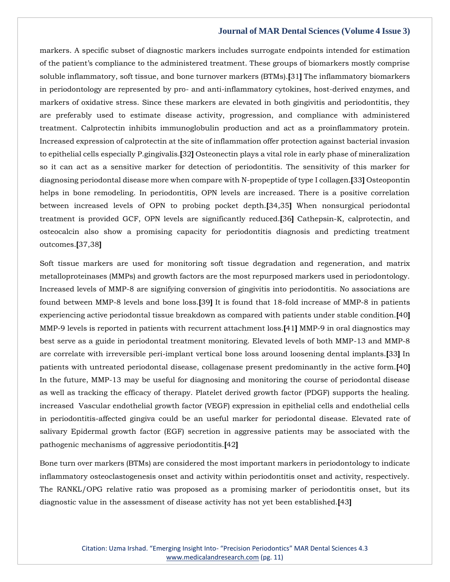markers. A specific subset of diagnostic markers includes surrogate endpoints intended for estimation of the patient's compliance to the administered treatment. These groups of biomarkers mostly comprise soluble inflammatory, soft tissue, and bone turnover markers (BTMs).**[**31**]** The inflammatory biomarkers in periodontology are represented by pro- and anti-inflammatory cytokines, host-derived enzymes, and markers of oxidative stress. Since these markers are elevated in both gingivitis and periodontitis, they are preferably used to estimate disease activity, progression, and compliance with administered treatment. Calprotectin inhibits immunoglobulin production and act as a proinflammatory protein. Increased expression of calprotectin at the site of inflammation offer protection against bacterial invasion to epithelial cells especially P.gingivalis.**[**32**]** Osteonectin plays a vital role in early phase of mineralization so it can act as a sensitive marker for detection of periodontitis. The sensitivity of this marker for diagnosing periodontal disease more when compare with N-propeptide of type I collagen.**[**33**]** Osteopontin helps in bone remodeling. In periodontitis, OPN levels are increased. There is a positive correlation between increased levels of OPN to probing pocket depth.**[**34,35**]** When nonsurgical periodontal treatment is provided GCF, OPN levels are significantly reduced.**[**36**]** Cathepsin-K, calprotectin, and osteocalcin also show a promising capacity for periodontitis diagnosis and predicting treatment outcomes.**[**37,38**]**

Soft tissue markers are used for monitoring soft tissue degradation and regeneration, and matrix metalloproteinases (MMPs) and growth factors are the most repurposed markers used in periodontology. Increased levels of MMP-8 are signifying conversion of gingivitis into periodontitis. No associations are found between MMP-8 levels and bone loss.**[**39**]** It is found that 18-fold increase of MMP-8 in patients experiencing active periodontal tissue breakdown as compared with patients under stable condition.**[**40**]** MMP-9 levels is reported in patients with recurrent attachment loss.**[**41**]** MMP-9 in oral diagnostics may best serve as a guide in periodontal treatment monitoring. Elevated levels of both MMP-13 and MMP-8 are correlate with irreversible peri-implant vertical bone loss around loosening dental implants.**[**33**]** In patients with untreated periodontal disease, collagenase present predominantly in the active form.**[**40**]** In the future, MMP-13 may be useful for diagnosing and monitoring the course of periodontal disease as well as tracking the efficacy of therapy. Platelet derived growth factor (PDGF) supports the healing. increased Vascular endothelial growth factor (VEGF) expression in epithelial cells and endothelial cells in periodontitis-affected gingiva could be an useful marker for periodontal disease. Elevated rate of salivary Epidermal growth factor (EGF) secretion in aggressive patients may be associated with the pathogenic mechanisms of aggressive periodontitis.**[**42**]**

Bone turn over markers (BTMs) are considered the most important markers in periodontology to indicate inflammatory osteoclastogenesis onset and activity within periodontitis onset and activity, respectively. The RANKL/OPG relative ratio was proposed as a promising marker of periodontitis onset, but its diagnostic value in the assessment of disease activity has not yet been established.**[**43**]**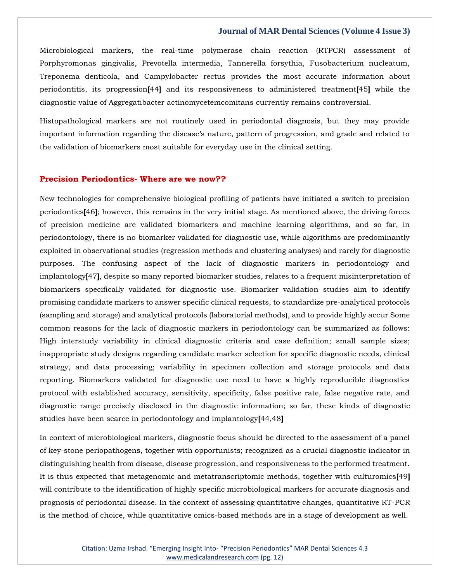Microbiological markers, the real-time polymerase chain reaction (RTPCR) assessment of Porphyromonas gingivalis, Prevotella intermedia, Tannerella forsythia, Fusobacterium nucleatum, Treponema denticola, and Campylobacter rectus provides the most accurate information about periodontitis, its progression**[**44**]** and its responsiveness to administered treatment**[**45**]** while the diagnostic value of Aggregatibacter actinomycetemcomitans currently remains controversial.

Histopathological markers are not routinely used in periodontal diagnosis, but they may provide important information regarding the disease's nature, pattern of progression, and grade and related to the validation of biomarkers most suitable for everyday use in the clinical setting.

### **Precision Periodontics- Where are we now??**

New technologies for comprehensive biological profiling of patients have initiated a switch to precision periodontics**[**46**]**; however, this remains in the very initial stage. As mentioned above, the driving forces of precision medicine are validated biomarkers and machine learning algorithms, and so far, in periodontology, there is no biomarker validated for diagnostic use, while algorithms are predominantly exploited in observational studies (regression methods and clustering analyses) and rarely for diagnostic purposes. The confusing aspect of the lack of diagnostic markers in periodontology and implantology**[**47**]**, despite so many reported biomarker studies, relates to a frequent misinterpretation of biomarkers specifically validated for diagnostic use. Biomarker validation studies aim to identify promising candidate markers to answer specific clinical requests, to standardize pre-analytical protocols (sampling and storage) and analytical protocols (laboratorial methods), and to provide highly accur Some common reasons for the lack of diagnostic markers in periodontology can be summarized as follows: High interstudy variability in clinical diagnostic criteria and case definition; small sample sizes; inappropriate study designs regarding candidate marker selection for specific diagnostic needs, clinical strategy, and data processing; variability in specimen collection and storage protocols and data reporting. Biomarkers validated for diagnostic use need to have a highly reproducible diagnostics protocol with established accuracy, sensitivity, specificity, false positive rate, false negative rate, and diagnostic range precisely disclosed in the diagnostic information; so far, these kinds of diagnostic studies have been scarce in periodontology and implantology**[**44,48**]**

In context of microbiological markers, diagnostic focus should be directed to the assessment of a panel of key-stone periopathogens, together with opportunists; recognized as a crucial diagnostic indicator in distinguishing health from disease, disease progression, and responsiveness to the performed treatment. It is thus expected that metagenomic and metatranscriptomic methods, together with culturomics**[**49**]** will contribute to the identification of highly specific microbiological markers for accurate diagnosis and prognosis of periodontal disease. In the context of assessing quantitative changes, quantitative RT-PCR is the method of choice, while quantitative omics-based methods are in a stage of development as well.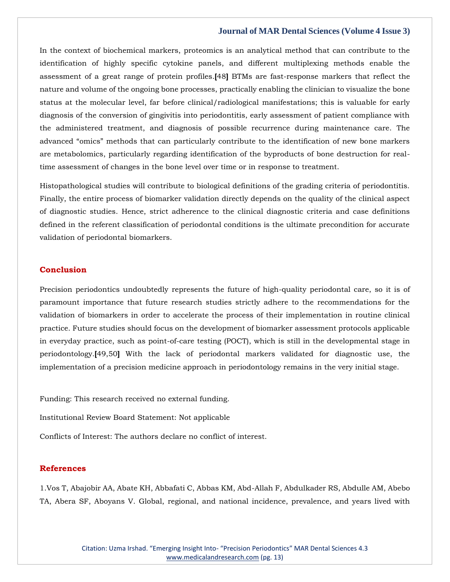In the context of biochemical markers, proteomics is an analytical method that can contribute to the identification of highly specific cytokine panels, and different multiplexing methods enable the assessment of a great range of protein profiles.**[**48**]** BTMs are fast-response markers that reflect the nature and volume of the ongoing bone processes, practically enabling the clinician to visualize the bone status at the molecular level, far before clinical/radiological manifestations; this is valuable for early diagnosis of the conversion of gingivitis into periodontitis, early assessment of patient compliance with the administered treatment, and diagnosis of possible recurrence during maintenance care. The advanced "omics" methods that can particularly contribute to the identification of new bone markers are metabolomics, particularly regarding identification of the byproducts of bone destruction for realtime assessment of changes in the bone level over time or in response to treatment.

Histopathological studies will contribute to biological definitions of the grading criteria of periodontitis. Finally, the entire process of biomarker validation directly depends on the quality of the clinical aspect of diagnostic studies. Hence, strict adherence to the clinical diagnostic criteria and case definitions defined in the referent classification of periodontal conditions is the ultimate precondition for accurate validation of periodontal biomarkers.

### **Conclusion**

Precision periodontics undoubtedly represents the future of high-quality periodontal care, so it is of paramount importance that future research studies strictly adhere to the recommendations for the validation of biomarkers in order to accelerate the process of their implementation in routine clinical practice. Future studies should focus on the development of biomarker assessment protocols applicable in everyday practice, such as point-of-care testing (POCT), which is still in the developmental stage in periodontology.**[**49,50**]** With the lack of periodontal markers validated for diagnostic use, the implementation of a precision medicine approach in periodontology remains in the very initial stage.

Funding: This research received no external funding.

Institutional Review Board Statement: Not applicable

Conflicts of Interest: The authors declare no conflict of interest.

# **References**

1.Vos T, Abajobir AA, Abate KH, Abbafati C, Abbas KM, Abd-Allah F, Abdulkader RS, Abdulle AM, Abebo TA, Abera SF, Aboyans V. Global, regional, and national incidence, prevalence, and years lived with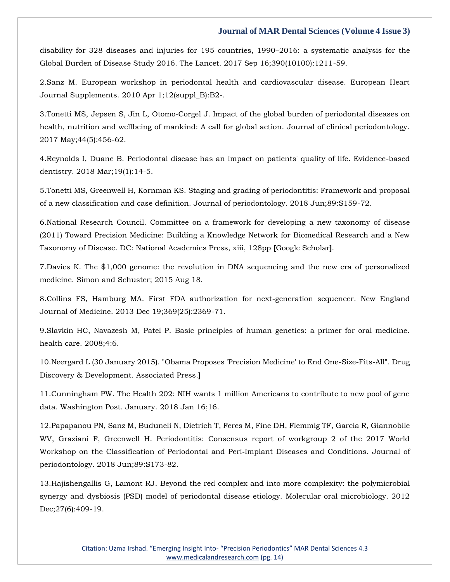disability for 328 diseases and injuries for 195 countries, 1990–2016: a systematic analysis for the Global Burden of Disease Study 2016. The Lancet. 2017 Sep 16;390(10100):1211-59.

2.Sanz M. European workshop in periodontal health and cardiovascular disease. European Heart Journal Supplements. 2010 Apr 1;12(suppl\_B):B2-.

3.Tonetti MS, Jepsen S, Jin L, Otomo‐Corgel J. Impact of the global burden of periodontal diseases on health, nutrition and wellbeing of mankind: A call for global action. Journal of clinical periodontology. 2017 May;44(5):456-62.

4.Reynolds I, Duane B. Periodontal disease has an impact on patients' quality of life. Evidence-based dentistry. 2018 Mar;19(1):14-5.

5.Tonetti MS, Greenwell H, Kornman KS. Staging and grading of periodontitis: Framework and proposal of a new classification and case definition. Journal of periodontology. 2018 Jun;89:S159-72.

6.National Research Council. Committee on a framework for developing a new taxonomy of disease (2011) Toward Precision Medicine: Building a Knowledge Network for Biomedical Research and a New Taxonomy of Disease. DC: National Academies Press, xiii, 128pp **[**Google Scholar**]**.

7.Davies K. The \$1,000 genome: the revolution in DNA sequencing and the new era of personalized medicine. Simon and Schuster; 2015 Aug 18.

8.Collins FS, Hamburg MA. First FDA authorization for next-generation sequencer. New England Journal of Medicine. 2013 Dec 19;369(25):2369-71.

9.Slavkin HC, Navazesh M, Patel P. Basic principles of human genetics: a primer for oral medicine. health care. 2008;4:6.

10.Neergard L (30 January 2015). "Obama Proposes 'Precision Medicine' to End One-Size-Fits-All". Drug Discovery & Development. Associated Press.**]**

11.Cunningham PW. The Health 202: NIH wants 1 million Americans to contribute to new pool of gene data. Washington Post. January. 2018 Jan 16;16.

12.Papapanou PN, Sanz M, Buduneli N, Dietrich T, Feres M, Fine DH, Flemmig TF, Garcia R, Giannobile WV, Graziani F, Greenwell H. Periodontitis: Consensus report of workgroup 2 of the 2017 World Workshop on the Classification of Periodontal and Peri‐Implant Diseases and Conditions. Journal of periodontology. 2018 Jun;89:S173-82.

13.Hajishengallis G, Lamont RJ. Beyond the red complex and into more complexity: the polymicrobial synergy and dysbiosis (PSD) model of periodontal disease etiology. Molecular oral microbiology. 2012 Dec; 27(6): 409-19.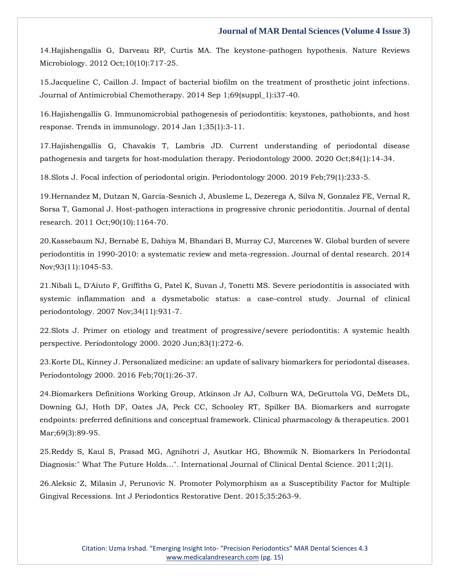14.Hajishengallis G, Darveau RP, Curtis MA. The keystone-pathogen hypothesis. Nature Reviews Microbiology. 2012 Oct;10(10):717-25.

15.Jacqueline C, Caillon J. Impact of bacterial biofilm on the treatment of prosthetic joint infections. Journal of Antimicrobial Chemotherapy. 2014 Sep 1;69(suppl\_1):i37-40.

16.Hajishengallis G. Immunomicrobial pathogenesis of periodontitis: keystones, pathobionts, and host response. Trends in immunology. 2014 Jan 1;35(1):3-11.

17.Hajishengallis G, Chavakis T, Lambris JD. Current understanding of periodontal disease pathogenesis and targets for host-modulation therapy. Periodontology 2000. 2020 Oct;84(1):14-34.

18.Slots J. Focal infection of periodontal origin. Periodontology 2000. 2019 Feb;79(1):233-5.

19.Hernandez M, Dutzan N, García-Sesnich J, Abusleme L, Dezerega A, Silva N, Gonzalez FE, Vernal R, Sorsa T, Gamonal J. Host-pathogen interactions in progressive chronic periodontitis. Journal of dental research. 2011 Oct;90(10):1164-70.

20.Kassebaum NJ, Bernabé E, Dahiya M, Bhandari B, Murray CJ, Marcenes W. Global burden of severe periodontitis in 1990-2010: a systematic review and meta-regression. Journal of dental research. 2014 Nov;93(11):1045-53.

21.Nibali L, D'Aiuto F, Griffiths G, Patel K, Suvan J, Tonetti MS. Severe periodontitis is associated with systemic inflammation and a dysmetabolic status: a case–control study. Journal of clinical periodontology. 2007 Nov;34(11):931-7.

22.Slots J. Primer on etiology and treatment of progressive/severe periodontitis: A systemic health perspective. Periodontology 2000. 2020 Jun;83(1):272-6.

23.Korte DL, Kinney J. Personalized medicine: an update of salivary biomarkers for periodontal diseases. Periodontology 2000. 2016 Feb;70(1):26-37.

24.Biomarkers Definitions Working Group, Atkinson Jr AJ, Colburn WA, DeGruttola VG, DeMets DL, Downing GJ, Hoth DF, Oates JA, Peck CC, Schooley RT, Spilker BA. Biomarkers and surrogate endpoints: preferred definitions and conceptual framework. Clinical pharmacology & therapeutics. 2001 Mar;69(3):89-95.

25.Reddy S, Kaul S, Prasad MG, Agnihotri J, Asutkar HG, Bhowmik N. Biomarkers In Periodontal Diagnosis:" What The Future Holds...". International Journal of Clinical Dental Science. 2011;2(1).

26.Aleksic Z, Milasin J, Perunovic N. Promoter Polymorphism as a Susceptibility Factor for Multiple Gingival Recessions. Int J Periodontics Restorative Dent. 2015;35:263-9.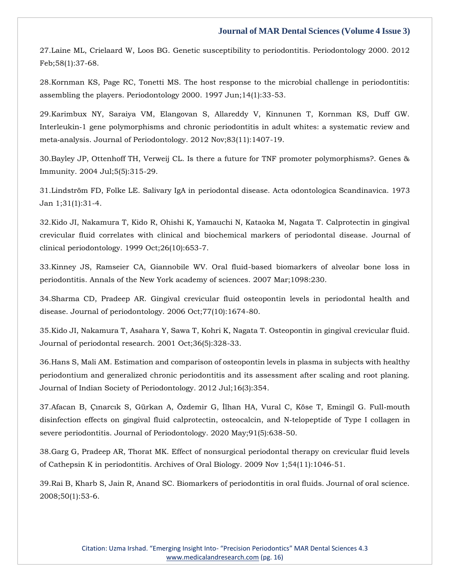27.Laine ML, Crielaard W, Loos BG. Genetic susceptibility to periodontitis. Periodontology 2000. 2012 Feb;58(1):37-68.

28.Kornman KS, Page RC, Tonetti MS. The host response to the microbial challenge in periodontitis: assembling the players. Periodontology 2000. 1997 Jun;14(1):33-53.

29.Karimbux NY, Saraiya VM, Elangovan S, Allareddy V, Kinnunen T, Kornman KS, Duff GW. Interleukin‐1 gene polymorphisms and chronic periodontitis in adult whites: a systematic review and meta‐analysis. Journal of Periodontology. 2012 Nov;83(11):1407-19.

30.Bayley JP, Ottenhoff TH, Verweij CL. Is there a future for TNF promoter polymorphisms?. Genes & Immunity. 2004 Jul;5(5):315-29.

31.Lindström FD, Folke LE. Salivary IgA in periodontal disease. Acta odontologica Scandinavica. 1973 Jan 1;31(1):31-4.

32.Kido JI, Nakamura T, Kido R, Ohishi K, Yamauchi N, Kataoka M, Nagata T. Calprotectin in gingival crevicular fluid correlates with clinical and biochemical markers of periodontal disease. Journal of clinical periodontology. 1999 Oct;26(10):653-7.

33.Kinney JS, Ramseier CA, Giannobile WV. Oral fluid-based biomarkers of alveolar bone loss in periodontitis. Annals of the New York academy of sciences. 2007 Mar;1098:230.

34.Sharma CD, Pradeep AR. Gingival crevicular fluid osteopontin levels in periodontal health and disease. Journal of periodontology. 2006 Oct;77(10):1674-80.

35.Kido JI, Nakamura T, Asahara Y, Sawa T, Kohri K, Nagata T. Osteopontin in gingival crevicular fluid. Journal of periodontal research. 2001 Oct;36(5):328-33.

36.Hans S, Mali AM. Estimation and comparison of osteopontin levels in plasma in subjects with healthy periodontium and generalized chronic periodontitis and its assessment after scaling and root planing. Journal of Indian Society of Periodontology. 2012 Jul;16(3):354.

37.Afacan B, Çınarcık S, Gürkan A, Özdemir G, İlhan HA, Vural C, Köse T, Emingil G. Full‐mouth disinfection effects on gingival fluid calprotectin, osteocalcin, and N‐telopeptide of Type I collagen in severe periodontitis. Journal of Periodontology. 2020 May;91(5):638-50.

38.Garg G, Pradeep AR, Thorat MK. Effect of nonsurgical periodontal therapy on crevicular fluid levels of Cathepsin K in periodontitis. Archives of Oral Biology. 2009 Nov 1;54(11):1046-51.

39.Rai B, Kharb S, Jain R, Anand SC. Biomarkers of periodontitis in oral fluids. Journal of oral science. 2008;50(1):53-6.